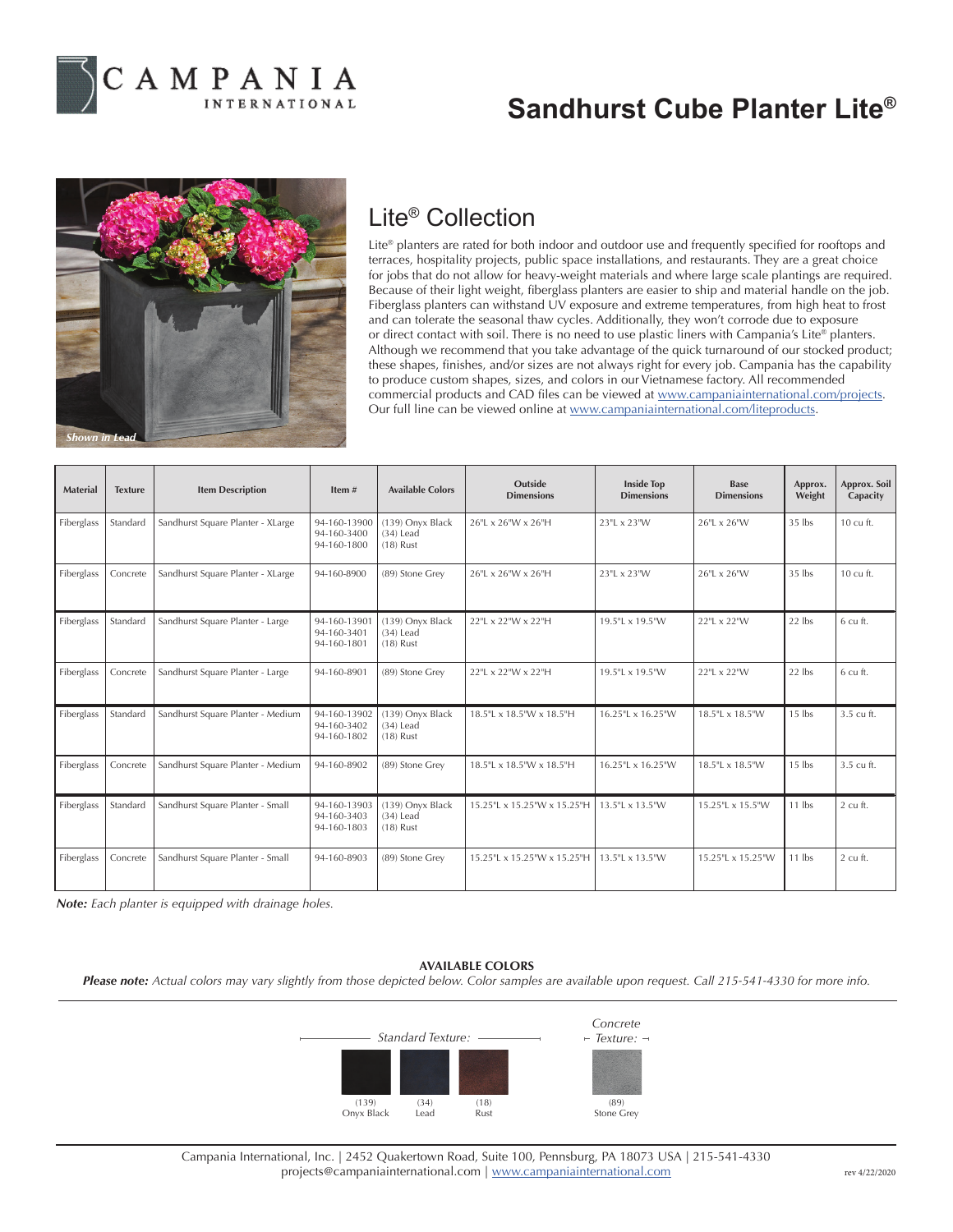

## **Sandhurst Cube Planter Lite®**



## Lite® Collection

Lite® planters are rated for both indoor and outdoor use and frequently specified for rooftops and terraces, hospitality projects, public space installations, and restaurants. They are a great choice for jobs that do not allow for heavy-weight materials and where large scale plantings are required. Because of their light weight, fiberglass planters are easier to ship and material handle on the job. Fiberglass planters can withstand UV exposure and extreme temperatures, from high heat to frost and can tolerate the seasonal thaw cycles. Additionally, they won't corrode due to exposure or direct contact with soil. There is no need to use plastic liners with Campania's Lite® planters. Although we recommend that you take advantage of the quick turnaround of our stocked product; these shapes, finishes, and/or sizes are not always right for every job. Campania has the capability to produce custom shapes, sizes, and colors in our Vietnamese factory. All recommended commercial products and CAD files can be viewed at www.campaniainternational.com/projects. Our full line can be viewed online at www.campaniainternational.com/liteproducts.

| <b>Material</b> | <b>Texture</b> | <b>Item Description</b>           | Item $#$                                   | <b>Available Colors</b>                        | Outside<br><b>Dimensions</b> | <b>Inside Top</b><br><b>Dimensions</b> | <b>Base</b><br><b>Dimensions</b> | Approx.<br>Weight | Approx. Soil<br>Capacity |
|-----------------|----------------|-----------------------------------|--------------------------------------------|------------------------------------------------|------------------------------|----------------------------------------|----------------------------------|-------------------|--------------------------|
| Fiberglass      | Standard       | Sandhurst Square Planter - XLarge | 94-160-13900<br>94-160-3400<br>94-160-1800 | (139) Onyx Black<br>$(34)$ Lead<br>$(18)$ Rust | 26"L x 26"W x 26"H           | 23"L x 23"W                            | 26"L x 26"W                      | $35$ lbs          | 10 cu ft.                |
| Fiberglass      | Concrete       | Sandhurst Square Planter - XLarge | 94-160-8900                                | (89) Stone Grey                                | 26"L x 26"W x 26"H           | 23"L x 23"W                            | 26"L x 26"W                      | $35$ lbs          | 10 cu ft.                |
| Fiberglass      | Standard       | Sandhurst Square Planter - Large  | 94-160-13901<br>94-160-3401<br>94-160-1801 | (139) Onyx Black<br>$(34)$ Lead<br>$(18)$ Rust | 22"L x 22"W x 22"H           | 19.5"L x 19.5"W                        | 22"L x 22"W                      | $22$ lbs          | 6 cu ft.                 |
| Fiberglass      | Concrete       | Sandhurst Square Planter - Large  | 94-160-8901                                | (89) Stone Grey                                | 22"L x 22"W x 22"H           | 19.5"L x 19.5"W                        | 22"L x 22"W                      | $22$ lbs          | 6 cu ft.                 |
| Fiberglass      | Standard       | Sandhurst Square Planter - Medium | 94-160-13902<br>94-160-3402<br>94-160-1802 | (139) Onyx Black<br>$(34)$ Lead<br>$(18)$ Rust | 18.5"L x 18.5"W x 18.5"H     | 16.25"L x 16.25"W                      | 18.5"L x 18.5"W                  | $15$ lbs          | 3.5 cu ft.               |
| Fiberglass      | Concrete       | Sandhurst Square Planter - Medium | 94-160-8902                                | (89) Stone Grey                                | 18.5"L x 18.5"W x 18.5"H     | 16.25"L x 16.25"W                      | 18.5"L x 18.5"W                  | $15$ lbs          | 3.5 cu ft.               |
| Fiberglass      | Standard       | Sandhurst Square Planter - Small  | 94-160-13903<br>94-160-3403<br>94-160-1803 | (139) Onyx Black<br>$(34)$ Lead<br>$(18)$ Rust | 15.25"L x 15.25"W x 15.25"H  | 13.5"L x 13.5"W                        | 15.25"L x 15.5"W                 | $11$ lbs          | 2 cu ft.                 |
| Fiberglass      | Concrete       | Sandhurst Square Planter - Small  | 94-160-8903                                | (89) Stone Grey                                | 15.25"L x 15.25"W x 15.25"H  | 13.5"L x 13.5"W                        | 15.25"L x 15.25"W                | $11$ lbs          | 2 cu ft.                 |

*Note: Each planter is equipped with drainage holes.*

## **AVAILABLE COLORS**

*Please note: Actual colors may vary slightly from those depicted below. Color samples are available upon request. Call 215-541-4330 for more info.*



Campania International, Inc. | 2452 Quakertown Road, Suite 100, Pennsburg, PA 18073 USA | 215-541-4330 projects@campaniainternational.com | www.campaniainternational.com